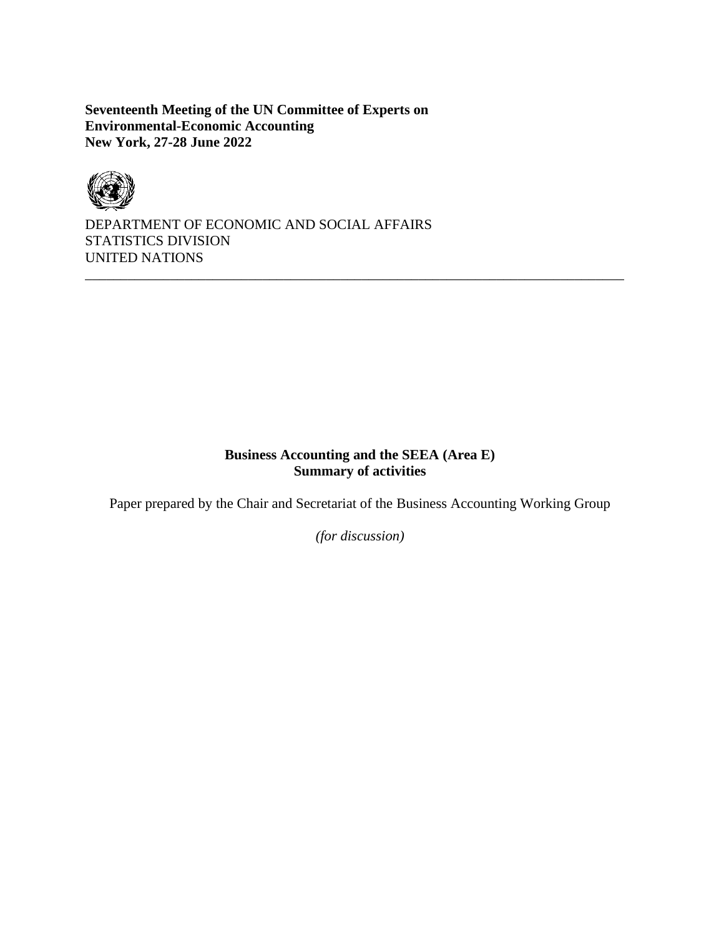**Seventeenth Meeting of the UN Committee of Experts on Environmental-Economic Accounting New York, 27-28 June 2022**



DEPARTMENT OF ECONOMIC AND SOCIAL AFFAIRS STATISTICS DIVISION UNITED NATIONS

# **Business Accounting and the SEEA (Area E) Summary of activities**

\_\_\_\_\_\_\_\_\_\_\_\_\_\_\_\_\_\_\_\_\_\_\_\_\_\_\_\_\_\_\_\_\_\_\_\_\_\_\_\_\_\_\_\_\_\_\_\_\_\_\_\_\_\_\_\_\_\_\_\_\_\_\_\_\_\_\_\_\_\_\_\_\_\_\_\_

Paper prepared by the Chair and Secretariat of the Business Accounting Working Group

*(for discussion)*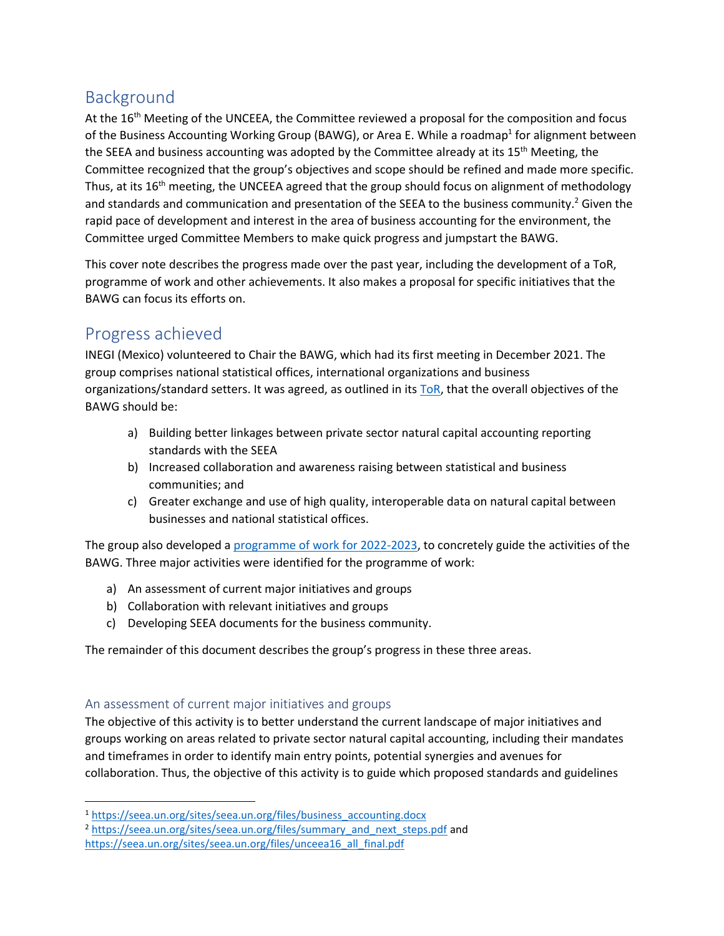# Background

At the  $16<sup>th</sup>$  Meeting of the UNCEEA, the Committee reviewed a proposal for the composition and focus of the Business Accounting Working Group (BAWG), or Area E. While a roadmap<sup>1</sup> for alignment between the SEEA and business accounting was adopted by the Committee already at its 15<sup>th</sup> Meeting, the Committee recognized that the group's objectives and scope should be refined and made more specific. Thus, at its 16<sup>th</sup> meeting, the UNCEEA agreed that the group should focus on alignment of methodology and standards and communication and presentation of the SEEA to the business community.<sup>2</sup> Given the rapid pace of development and interest in the area of business accounting for the environment, the Committee urged Committee Members to make quick progress and jumpstart the BAWG.

This cover note describes the progress made over the past year, including the development of a ToR, programme of work and other achievements. It also makes a proposal for specific initiatives that the BAWG can focus its efforts on.

# Progress achieved

INEGI (Mexico) volunteered to Chair the BAWG, which had its first meeting in December 2021. The group comprises national statistical offices, international organizations and business organizations/standard setters. It was agreed, as outlined in its [ToR,](https://seea.un.org/sites/seea.un.org/files/tor_unceea_business_accounting_v3.pdf) that the overall objectives of the BAWG should be:

- a) Building better linkages between private sector natural capital accounting reporting standards with the SEEA
- b) Increased collaboration and awareness raising between statistical and business communities; and
- c) Greater exchange and use of high quality, interoperable data on natural capital between businesses and national statistical offices.

The group also developed [a programme of work for 2022-2023,](https://seea.un.org/sites/seea.un.org/files/area_e_programme_of_work_2022_v2.pdf) to concretely guide the activities of the BAWG. Three major activities were identified for the programme of work:

- a) An assessment of current major initiatives and groups
- b) Collaboration with relevant initiatives and groups
- c) Developing SEEA documents for the business community.

The remainder of this document describes the group's progress in these three areas.

# An assessment of current major initiatives and groups

The objective of this activity is to better understand the current landscape of major initiatives and groups working on areas related to private sector natural capital accounting, including their mandates and timeframes in order to identify main entry points, potential synergies and avenues for collaboration. Thus, the objective of this activity is to guide which proposed standards and guidelines

<sup>1</sup> [https://seea.un.org/sites/seea.un.org/files/business\\_accounting.docx](https://seea.un.org/sites/seea.un.org/files/business_accounting.docx)

<sup>&</sup>lt;sup>2</sup> [https://seea.un.org/sites/seea.un.org/files/summary\\_and\\_next\\_steps.pdf](https://seea.un.org/sites/seea.un.org/files/summary_and_next_steps.pdf) and

https://seea.un.org/sites/seea.un.org/files/unceea16 all final.pdf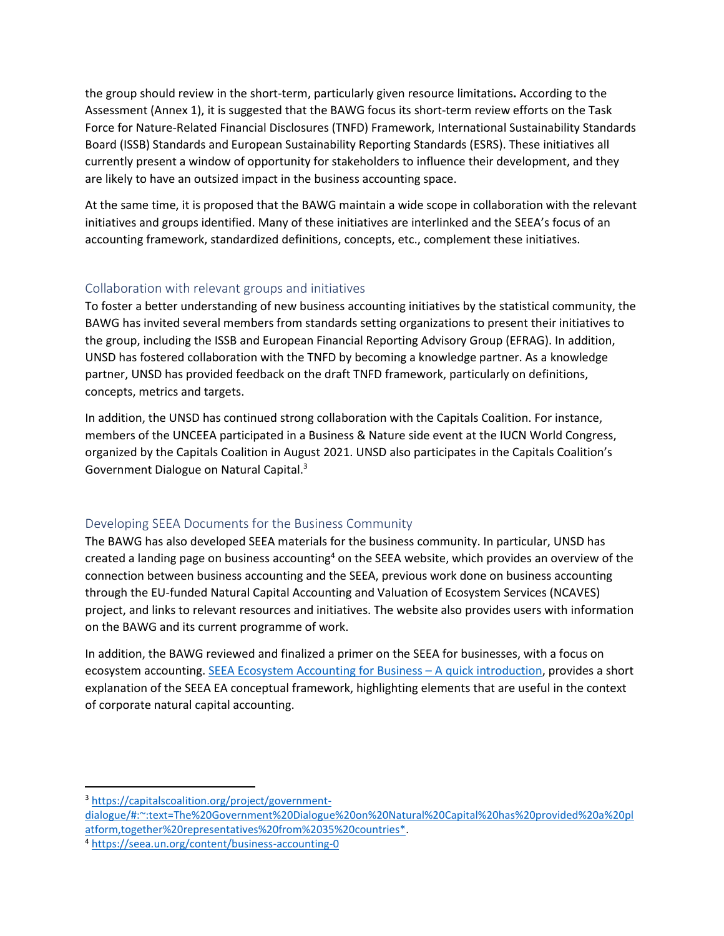the group should review in the short-term, particularly given resource limitations**.** According to the Assessment (Annex 1), it is suggested that the BAWG focus its short-term review efforts on the Task Force for Nature-Related Financial Disclosures (TNFD) Framework, International Sustainability Standards Board (ISSB) Standards and European Sustainability Reporting Standards (ESRS). These initiatives all currently present a window of opportunity for stakeholders to influence their development, and they are likely to have an outsized impact in the business accounting space.

At the same time, it is proposed that the BAWG maintain a wide scope in collaboration with the relevant initiatives and groups identified. Many of these initiatives are interlinked and the SEEA's focus of an accounting framework, standardized definitions, concepts, etc., complement these initiatives.

## Collaboration with relevant groups and initiatives

To foster a better understanding of new business accounting initiatives by the statistical community, the BAWG has invited several members from standards setting organizations to present their initiatives to the group, including the ISSB and European Financial Reporting Advisory Group (EFRAG). In addition, UNSD has fostered collaboration with the TNFD by becoming a knowledge partner. As a knowledge partner, UNSD has provided feedback on the draft TNFD framework, particularly on definitions, concepts, metrics and targets.

In addition, the UNSD has continued strong collaboration with the Capitals Coalition. For instance, members of the UNCEEA participated in a Business & Nature side event at the IUCN World Congress, organized by the Capitals Coalition in August 2021. UNSD also participates in the Capitals Coalition's Government Dialogue on Natural Capital.<sup>3</sup>

# Developing SEEA Documents for the Business Community

The BAWG has also developed SEEA materials for the business community. In particular, UNSD has created a landing page on business accounting<sup>4</sup> on the SEEA website, which provides an overview of the connection between business accounting and the SEEA, previous work done on business accounting through the EU-funded Natural Capital Accounting and Valuation of Ecosystem Services (NCAVES) project, and links to relevant resources and initiatives. The website also provides users with information on the BAWG and its current programme of work.

In addition, the BAWG reviewed and finalized a primer on the SEEA for businesses, with a focus on ecosystem accounting. [SEEA Ecosystem Accounting for Business](https://seea.un.org/content/seea-ecosystem-accounting-business-quick-introduction) – A quick introduction, provides a short explanation of the SEEA EA conceptual framework, highlighting elements that are useful in the context of corporate natural capital accounting.

<sup>3</sup> [https://capitalscoalition.org/project/government-](https://capitalscoalition.org/project/government-dialogue/#:~:text=The%20Government%20Dialogue%20on%20Natural%20Capital%20has%20provided%20a%20platform,together%20representatives%20from%2035%20countries*)

[dialogue/#:~:text=The%20Government%20Dialogue%20on%20Natural%20Capital%20has%20provided%20a%20pl](https://capitalscoalition.org/project/government-dialogue/#:~:text=The%20Government%20Dialogue%20on%20Natural%20Capital%20has%20provided%20a%20platform,together%20representatives%20from%2035%20countries*) [atform,together%20representatives%20from%2035%20countries\\*.](https://capitalscoalition.org/project/government-dialogue/#:~:text=The%20Government%20Dialogue%20on%20Natural%20Capital%20has%20provided%20a%20platform,together%20representatives%20from%2035%20countries*)

<sup>4</sup> <https://seea.un.org/content/business-accounting-0>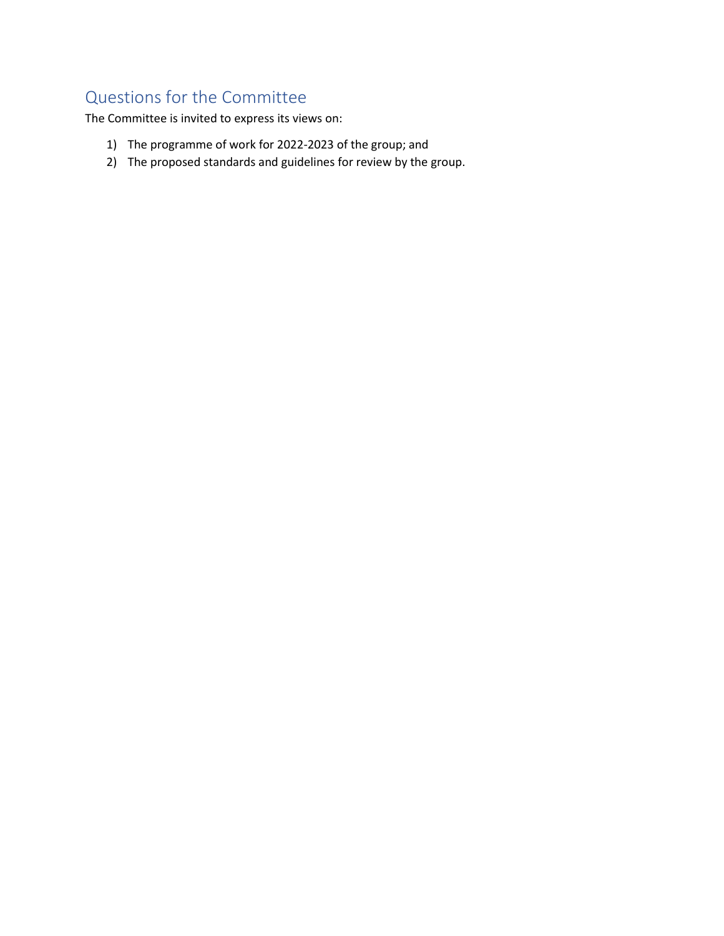# Questions for the Committee

The Committee is invited to express its views on:

- 1) The programme of work for 2022-2023 of the group; and
- 2) The proposed standards and guidelines for review by the group.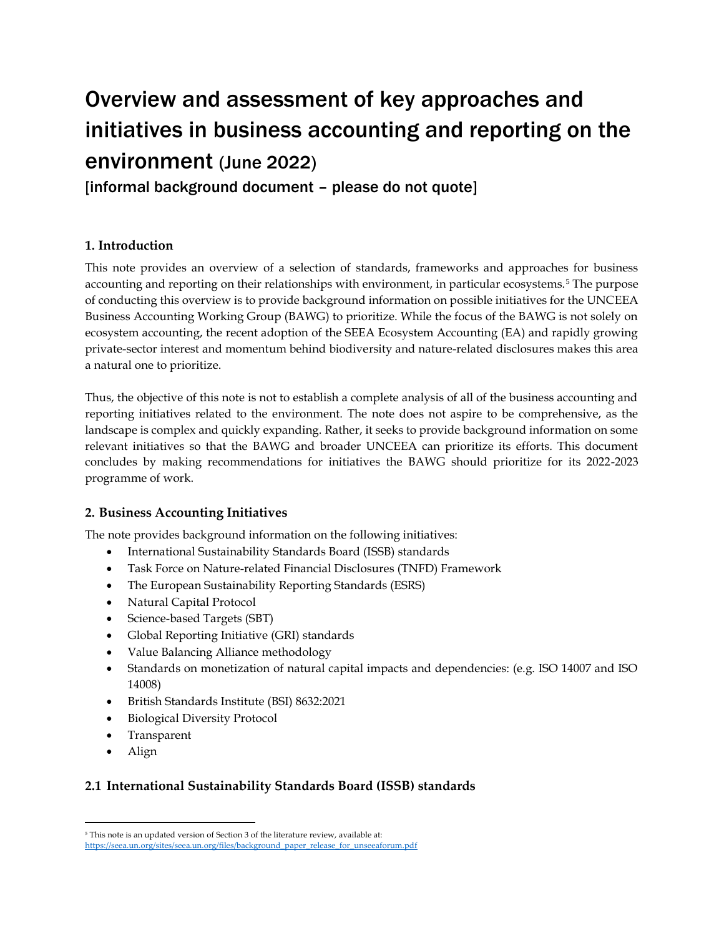# Overview and assessment of key approaches and initiatives in business accounting and reporting on the environment (June 2022)

[informal background document – please do not quote]

## **1. Introduction**

This note provides an overview of a selection of standards, frameworks and approaches for business accounting and reporting on their relationships with environment, in particular ecosystems.<sup>5</sup> The purpose of conducting this overview is to provide background information on possible initiatives for the UNCEEA Business Accounting Working Group (BAWG) to prioritize. While the focus of the BAWG is not solely on ecosystem accounting, the recent adoption of the SEEA Ecosystem Accounting (EA) and rapidly growing private-sector interest and momentum behind biodiversity and nature-related disclosures makes this area a natural one to prioritize.

Thus, the objective of this note is not to establish a complete analysis of all of the business accounting and reporting initiatives related to the environment. The note does not aspire to be comprehensive, as the landscape is complex and quickly expanding. Rather, it seeks to provide background information on some relevant initiatives so that the BAWG and broader UNCEEA can prioritize its efforts. This document concludes by making recommendations for initiatives the BAWG should prioritize for its 2022-2023 programme of work.

#### **2. Business Accounting Initiatives**

The note provides background information on the following initiatives:

- International Sustainability Standards Board (ISSB) standards
- Task Force on Nature-related Financial Disclosures (TNFD) Framework
- The European Sustainability Reporting Standards (ESRS)
- Natural Capital Protocol
- Science-based Targets (SBT)
- Global Reporting Initiative (GRI) standards
- Value Balancing Alliance methodology
- Standards on monetization of natural capital impacts and dependencies: (e.g. ISO 14007 and ISO 14008)
- British Standards Institute (BSI) 8632:2021
- Biological Diversity Protocol
- Transparent
- Align

# **2.1 International Sustainability Standards Board (ISSB) standards**

<sup>&</sup>lt;sup>5</sup> This note is an updated version of Section 3 of the literature review, available at: [https://seea.un.org/sites/seea.un.org/files/background\\_paper\\_release\\_for\\_unseeaforum.pdf](https://seea.un.org/sites/seea.un.org/files/background_paper_release_for_unseeaforum.pdf)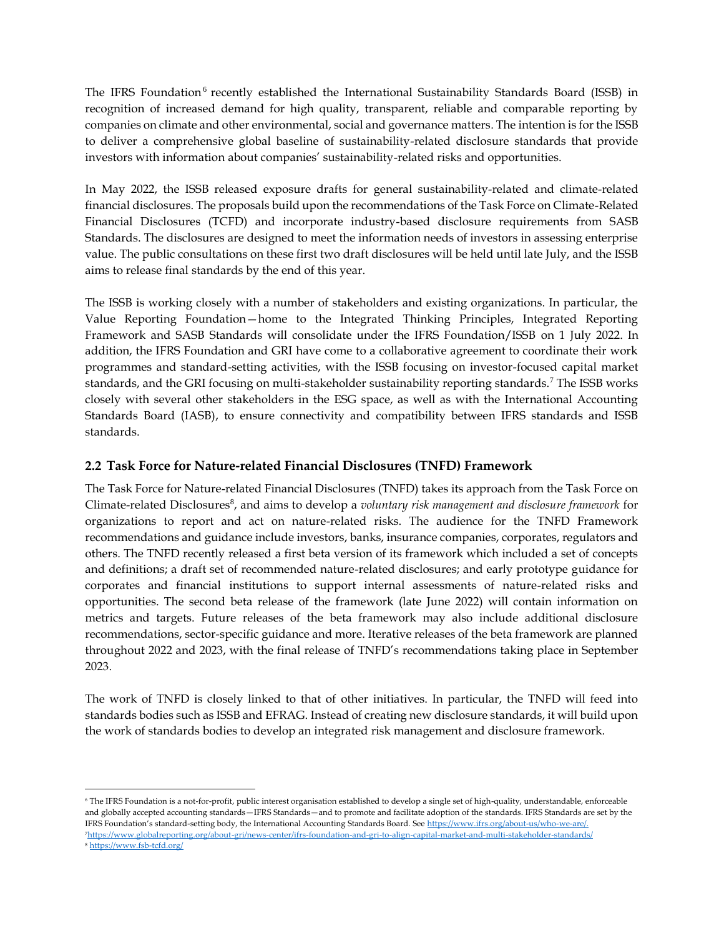The IFRS Foundation<sup>6</sup> recently established the International Sustainability Standards Board (ISSB) in recognition of increased demand for high quality, transparent, reliable and comparable reporting by companies on climate and other environmental, social and governance matters. The intention is for the ISSB to deliver a comprehensive global baseline of sustainability-related disclosure standards that provide investors with information about companies' sustainability-related risks and opportunities.

In May 2022, the ISSB released exposure drafts for general sustainability-related and climate-related financial disclosures. The proposals build upon the recommendations of the Task Force on Climate-Related Financial Disclosures (TCFD) and incorporate industry-based disclosure requirements from SASB Standards. The disclosures are designed to meet the information needs of investors in assessing enterprise value. The public consultations on these first two draft disclosures will be held until late July, and the ISSB aims to release final standards by the end of this year.

The ISSB is working closely with a number of stakeholders and existing organizations. In particular, the Value Reporting Foundation—home to the Integrated Thinking Principles, Integrated Reporting Framework and SASB Standards will consolidate under the IFRS Foundation/ISSB on 1 July 2022. In addition, the IFRS Foundation and GRI have come to a collaborative agreement to coordinate their work programmes and standard-setting activities, with the ISSB focusing on investor-focused capital market standards, and the GRI focusing on multi-stakeholder sustainability reporting standards.<sup>7</sup> The ISSB works closely with several other stakeholders in the ESG space, as well as with the International Accounting Standards Board (IASB), to ensure connectivity and compatibility between IFRS standards and ISSB standards.

#### **2.2 Task Force for Nature-related Financial Disclosures (TNFD) Framework**

The Task Force for Nature-related Financial Disclosures (TNFD) takes its approach from the Task Force on Climate-related Disclosures<sup>8</sup>, and aims to develop a *voluntary risk management and disclosure framework* for organizations to report and act on nature-related risks. The audience for the TNFD Framework recommendations and guidance include investors, banks, insurance companies, corporates, regulators and others. The TNFD recently released a first beta version of its framework which included a set of concepts and definitions; a draft set of recommended nature-related disclosures; and early prototype guidance for corporates and financial institutions to support internal assessments of nature-related risks and opportunities. The second beta release of the framework (late June 2022) will contain information on metrics and targets. Future releases of the beta framework may also include additional disclosure recommendations, sector-specific guidance and more. Iterative releases of the beta framework are planned throughout 2022 and 2023, with the final release of TNFD's recommendations taking place in September 2023.

The work of TNFD is closely linked to that of other initiatives. In particular, the TNFD will feed into standards bodies such as ISSB and EFRAG. Instead of creating new disclosure standards, it will build upon the work of standards bodies to develop an integrated risk management and disclosure framework.

<sup>6</sup> The IFRS Foundation is a not-for-profit, public interest organisation established to develop a single set of high-quality, understandable, enforceable and globally accepted accounting standards—IFRS Standards—and to promote and facilitate adoption of the standards. IFRS Standards are set by the IFRS Foundation's standard-setting body, the International Accounting Standards Board. Se[e https://www.ifrs.org/about-us/who-we-are/.](https://www.ifrs.org/about-us/who-we-are/)  <sup>7</sup><https://www.globalreporting.org/about-gri/news-center/ifrs-foundation-and-gri-to-align-capital-market-and-multi-stakeholder-standards/>

<sup>8</sup> <https://www.fsb-tcfd.org/>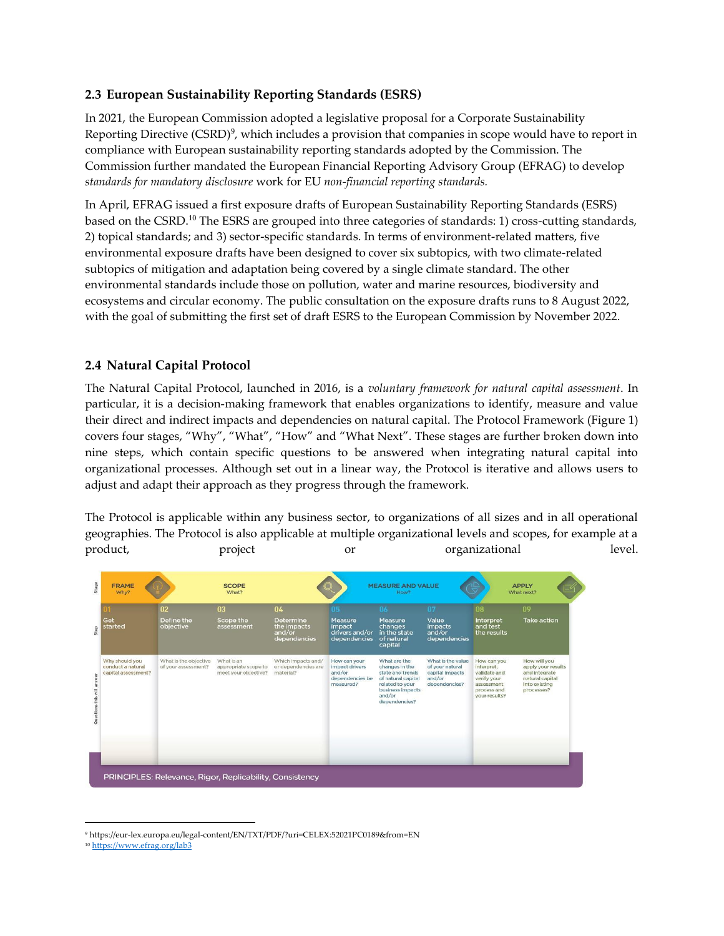#### **2.3 European Sustainability Reporting Standards (ESRS)**

In 2021, the European Commission adopted a legislative proposal for a Corporate Sustainability Reporting Directive (CSRD)<sup>9</sup>, which includes a provision that companies in scope would have to report in compliance with European sustainability reporting standards adopted by the Commission. The Commission further mandated the European Financial Reporting Advisory Group (EFRAG) to develop *standards for mandatory disclosure* work for EU *non-financial reporting standards.* 

In April, EFRAG issued a first exposure drafts of European Sustainability Reporting Standards (ESRS) based on the CSRD.<sup>10</sup> The ESRS are grouped into three categories of standards: 1) cross-cutting standards, 2) topical standards; and 3) sector-specific standards. In terms of environment-related matters, five environmental exposure drafts have been designed to cover six subtopics, with two climate-related subtopics of mitigation and adaptation being covered by a single climate standard. The other environmental standards include those on pollution, water and marine resources, biodiversity and ecosystems and circular economy. The public consultation on the exposure drafts runs to 8 August 2022, with the goal of submitting the first set of draft ESRS to the European Commission by November 2022.

## **2.4 Natural Capital Protocol**

The Natural Capital Protocol, launched in 2016, is a *voluntary framework for natural capital assessment*. In particular, it is a decision-making framework that enables organizations to identify, measure and value their direct and indirect impacts and dependencies on [natural capital.](https://naturalcapitalcoalition.org/natural-capital-2/) The Protocol Framework [\(Figure 1\)](#page-7-0) covers four stages, "Why", "What", "How" and "What Next". These stages are further broken down into nine steps, which contain specific questions to be answered when integrating natural capital into organizational processes. Although set out in a linear way, the Protocol is iterative and allows users to adjust and adapt their approach as they progress through the framework.

The Protocol is applicable within any business sector, to organizations of all sizes and in all operational geographies. The Protocol is also applicable at multiple organizational levels and scopes, for example at a product, project or organizational level.

|                                                            | 02                                           | 03                                                         | 04                                                     | 05                                                                       | 06                                                                                                                                         | 07                                                                                 | 08                                                                                                     | 09                                                                                                    |
|------------------------------------------------------------|----------------------------------------------|------------------------------------------------------------|--------------------------------------------------------|--------------------------------------------------------------------------|--------------------------------------------------------------------------------------------------------------------------------------------|------------------------------------------------------------------------------------|--------------------------------------------------------------------------------------------------------|-------------------------------------------------------------------------------------------------------|
| Get<br>started                                             | Define the<br>objective                      | Scope the<br>assessment                                    | Determine<br>the impacts<br>and/or<br>dependencies     | Measure<br>impact<br>drivers and/or<br>dependencies                      | Measure<br>changes<br>in the state<br>of natural<br>capital                                                                                | Value<br><i>impacts</i><br>and/or<br>dependencies                                  | Interpret<br>and test<br>the results                                                                   | <b>Take action</b>                                                                                    |
| Why should you<br>conduct a natural<br>capital assessment? | What is the objective<br>of your assessment? | What is an<br>appropriate scope to<br>meet your objective? | Which impacts and/<br>or dependencies are<br>material? | How can your<br>impact drivers<br>and/or<br>dependencies be<br>measured? | What are the<br>changes in the<br>state and trends<br>of natural capital<br>related to your<br>business impacts<br>and/or<br>dependencies? | What is the value<br>of your natural<br>capital impacts<br>and/or<br>dependencies? | How can you<br>interpret.<br>validate and<br>verify your<br>assessment<br>process and<br>your results? | How will you<br>apply your results<br>and integrate<br>natural capital<br>into existing<br>processes? |
|                                                            |                                              |                                                            |                                                        |                                                                          |                                                                                                                                            |                                                                                    |                                                                                                        |                                                                                                       |

<sup>9</sup> https://eur-lex.europa.eu/legal-content/EN/TXT/PDF/?uri=CELEX:52021PC0189&from=EN

<sup>10</sup> <https://www.efrag.org/lab3>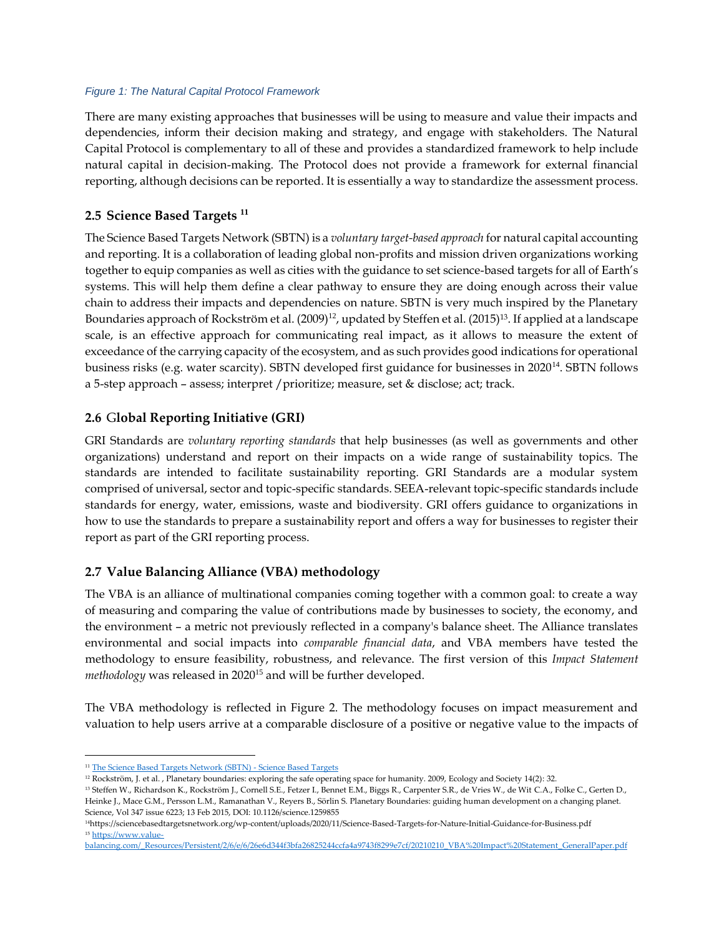#### <span id="page-7-0"></span>*Figure 1: The Natural Capital Protocol Framework*

There are many existing approaches that businesses will be using to measure and value their impacts and dependencies, inform their decision making and strategy, and engage with stakeholders. The Natural Capital Protocol is complementary to all of these and provides a standardized framework to help include natural capital in decision-making. The Protocol does not provide a framework for external financial reporting, although decisions can be reported. It is essentially a way to standardize the assessment process.

#### **2.5 Science Based Targets <sup>11</sup>**

The Science Based Targets Network (SBTN) is a *voluntary target-based approach* for natural capital accounting and reporting. It is a collaboration of leading global non-profits and mission driven organizations working together to equip companies as well as cities with the guidance to set science-based targets for all of Earth's systems. This will help them define a clear pathway to ensure they are doing enough across their value chain to address their impacts and dependencies on nature. SBTN is very much inspired by the Planetary Boundaries approach of Rockström et al. (2009)<sup>12</sup>, updated by Steffen et al. (2015)<sup>13</sup>. If applied at a landscape scale, is an effective approach for communicating real impact, as it allows to measure the extent of exceedance of the carrying capacity of the ecosystem, and as such provides good indications for operational business risks (e.g. water scarcity). SBTN developed first guidance for businesses in 2020<sup>14</sup>. SBTN follows a 5-step approach – assess; interpret /prioritize; measure, set & disclose; act; track.

#### **2.6** G**lobal Reporting Initiative (GRI)**

GRI Standards are *voluntary reporting standards* that help businesses (as well as governments and other organizations) understand and report on their impacts on a wide range of sustainability topics. The standards are intended to facilitate sustainability reporting. GRI Standards are a modular system comprised of universal, sector and topic-specific standards. SEEA-relevant topic-specific standards include standards for energy, water, emissions, waste and biodiversity. GRI offers guidance to organizations in how to use the standards to prepare a sustainability report and offers a way for businesses to register their report as part of the GRI reporting process.

#### **2.7 Value Balancing Alliance (VBA) methodology**

The VBA is an alliance of multinational companies coming together with a common goal: to create a way of measuring and comparing the value of contributions made by businesses to society, the economy, and the environment – a metric not previously reflected in a company's balance sheet. The Alliance translates environmental and social impacts into *comparable financial data*, and VBA members have tested the methodology to ensure feasibility, robustness, and relevance. The first version of this *Impact Statement methodology* was released in 2020<sup>15</sup> and will be further developed.

The VBA methodology is reflected in Figure 2. The methodology focuses on impact measurement and valuation to help users arrive at a comparable disclosure of a positive or negative value to the impacts of

<sup>&</sup>lt;sup>11</sup> [The Science Based Targets Network \(SBTN\) -](https://sciencebasedtargets.org/about-us/sbtn) Science Based Targets

<sup>&</sup>lt;sup>12</sup> Rockström, J. et al. , Planetary boundaries: exploring the safe operating space for humanity. 2009, Ecology and Society 14(2): 32.

<sup>13</sup> Steffen W., Richardson K., Rockström J., Cornell S.E., Fetzer I., Bennet E.M., Biggs R., Carpenter S.R., de Vries W., de Wit C.A., Folke C., Gerten D., Heinke J., Mace G.M., Persson L.M., Ramanathan V., Reyers B., Sörlin S. Planetary Boundaries: guiding human development on a changing planet. Science, Vol 347 issue 6223; 13 Feb 2015, DOI: 10.1126/science.1259855

<sup>14</sup>https://sciencebasedtargetsnetwork.org/wp-content/uploads/2020/11/Science-Based-Targets-for-Nature-Initial-Guidance-for-Business.pdf <sup>15</sup> [https://www.value-](https://www.value-balancing.com/_Resources/Persistent/2/6/e/6/26e6d344f3bfa26825244ccfa4a9743f8299e7cf/20210210_VBA%20Impact%20Statement_GeneralPaper.pdf)

[balancing.com/\\_Resources/Persistent/2/6/e/6/26e6d344f3bfa26825244ccfa4a9743f8299e7cf/20210210\\_VBA%20Impact%20Statement\\_GeneralPaper.pdf](https://www.value-balancing.com/_Resources/Persistent/2/6/e/6/26e6d344f3bfa26825244ccfa4a9743f8299e7cf/20210210_VBA%20Impact%20Statement_GeneralPaper.pdf)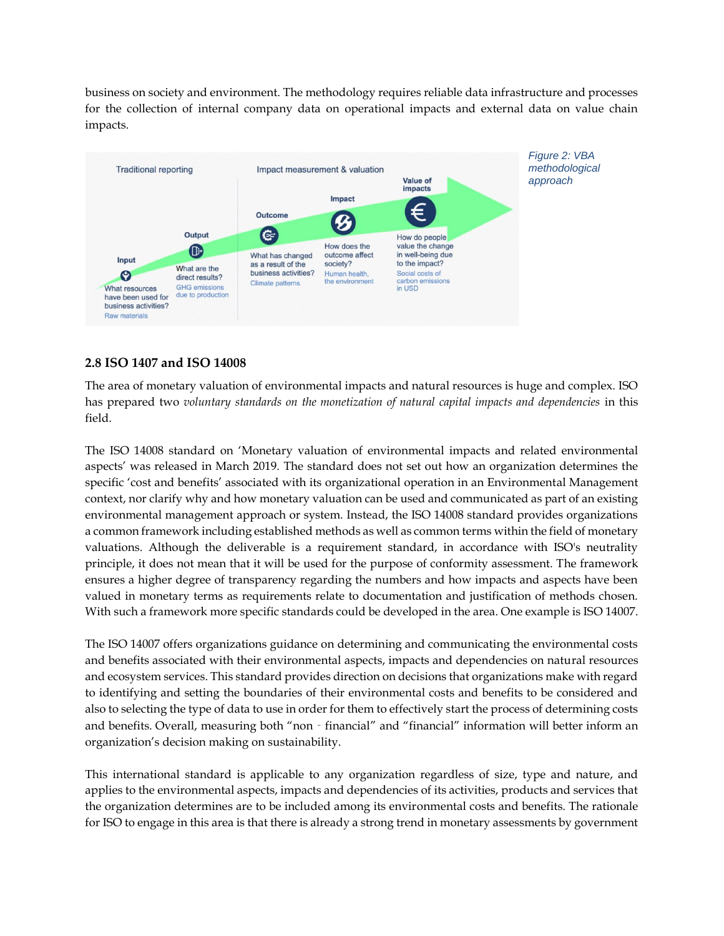business on society and environment. The methodology requires reliable data infrastructure and processes for the collection of internal company data on operational impacts and external data on value chain impacts.



#### **2.8 ISO 1407 and ISO 14008**

The area of monetary valuation of environmental impacts and natural resources is huge and complex. ISO has prepared two *voluntary standards on the monetization of natural capital impacts and dependencies* in this field.

The ISO 14008 standard on 'Monetary valuation of environmental impacts and related environmental aspects' was released in March 2019. The standard does not set out how an organization determines the specific 'cost and benefits' associated with its organizational operation in an Environmental Management context, nor clarify why and how monetary valuation can be used and communicated as part of an existing environmental management approach or system. Instead, the ISO 14008 standard provides organizations a common framework including established methods as well as common terms within the field of monetary valuations. Although the deliverable is a requirement standard, in accordance with ISO's neutrality principle, it does not mean that it will be used for the purpose of conformity assessment. The framework ensures a higher degree of transparency regarding the numbers and how impacts and aspects have been valued in monetary terms as requirements relate to documentation and justification of methods chosen. With such a framework more specific standards could be developed in the area. One example is ISO 14007.

The ISO 14007 offers organizations guidance on determining and communicating the environmental costs and benefits associated with their environmental aspects, impacts and dependencies on natural resources and ecosystem services. This standard provides direction on decisions that organizations make with regard to identifying and setting the boundaries of their environmental costs and benefits to be considered and also to selecting the type of data to use in order for them to effectively start the process of determining costs and benefits. Overall, measuring both "non - financial" and "financial" information will better inform an organization's decision making on sustainability.

This international standard is applicable to any organization regardless of size, type and nature, and applies to the environmental aspects, impacts and dependencies of its activities, products and services that the organization determines are to be included among its environmental costs and benefits. The rationale for ISO to engage in this area is that there is already a strong trend in monetary assessments by government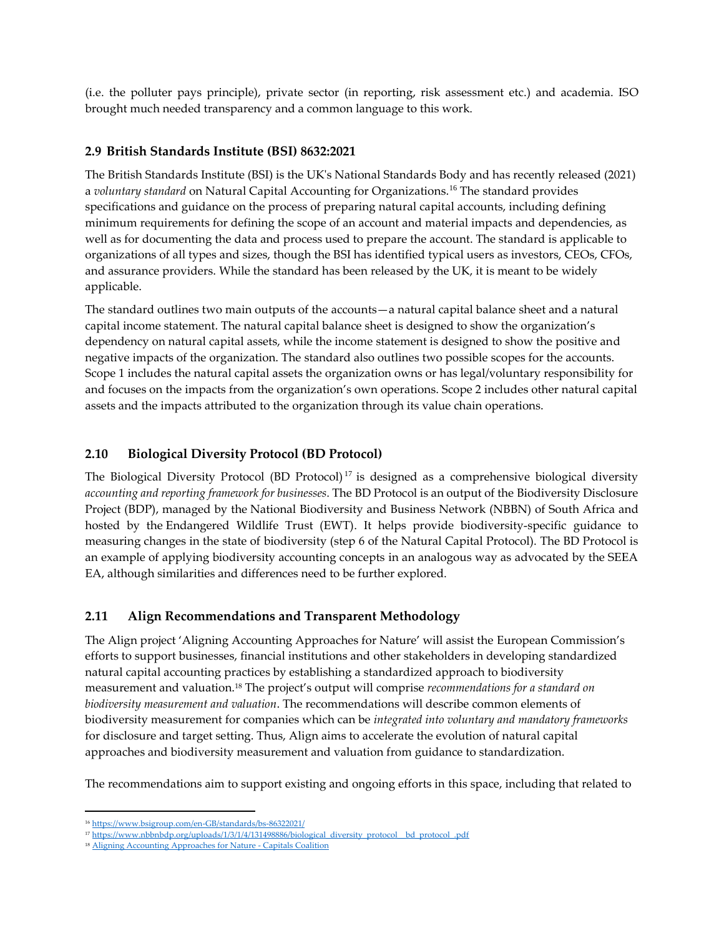(i.e. the polluter pays principle), private sector (in reporting, risk assessment etc.) and academia. ISO brought much needed transparency and a common language to this work.

#### **2.9 British Standards Institute (BSI) 8632:2021**

The British Standards Institute (BSI) is the UK's National Standards Body and has recently released (2021) a *voluntary standard* on Natural Capital Accounting for Organizations.<sup>16</sup> The standard provides specifications and guidance on the process of preparing natural capital accounts, including defining minimum requirements for defining the scope of an account and material impacts and dependencies, as well as for documenting the data and process used to prepare the account. The standard is applicable to organizations of all types and sizes, though the BSI has identified typical users as investors, CEOs, CFOs, and assurance providers. While the standard has been released by the UK, it is meant to be widely applicable.

The standard outlines two main outputs of the accounts—a natural capital balance sheet and a natural capital income statement. The natural capital balance sheet is designed to show the organization's dependency on natural capital assets, while the income statement is designed to show the positive and negative impacts of the organization. The standard also outlines two possible scopes for the accounts. Scope 1 includes the natural capital assets the organization owns or has legal/voluntary responsibility for and focuses on the impacts from the organization's own operations. Scope 2 includes other natural capital assets and the impacts attributed to the organization through its value chain operations.

#### **2.10 Biological Diversity Protocol (BD Protocol)**

The Biological Diversity Protocol (BD Protocol) <sup>17</sup> is designed as a comprehensive biological diversity *accounting and reporting framework for businesses*. The BD Protocol is an output of the [Biodiversity Disclosure](https://nam02.safelinks.protection.outlook.com/?url=http%3A%2F%2Fwww.bdprotocol.org%2Fb&data=02%7C01%7Cjohan.lammerant%40arcadis.com%7Cc909dd875713421e093608d6df8424dc%7C7f90057d3ea046feb07ce0568627081b%7C1%7C0%7C636942155984759550&sdata=WHwrJt7lexGRrXdiQmjXPHRaI9rSWklLDwKWkY6rMf4%3D&reserved=0)  [Project \(BDP\),](https://nam02.safelinks.protection.outlook.com/?url=http%3A%2F%2Fwww.bdprotocol.org%2Fb&data=02%7C01%7Cjohan.lammerant%40arcadis.com%7Cc909dd875713421e093608d6df8424dc%7C7f90057d3ea046feb07ce0568627081b%7C1%7C0%7C636942155984759550&sdata=WHwrJt7lexGRrXdiQmjXPHRaI9rSWklLDwKWkY6rMf4%3D&reserved=0) managed by the [National Biodiversity and Business Network \(NBBN\) of South Africa](https://nam02.safelinks.protection.outlook.com/?url=https%3A%2F%2Fwww.ewt.org.za%2Fwhat-we-do%2Fwhat-we-do-people%2Fnational-biodiversity-and-business-network%2F&data=02%7C01%7Cjohan.lammerant%40arcadis.com%7Cc909dd875713421e093608d6df8424dc%7C7f90057d3ea046feb07ce0568627081b%7C1%7C0%7C636942155984769540&sdata=r2tLsEToevda360Tgat6uJEZoOpiq11Sn4A7EDBGJpE%3D&reserved=0) and hosted by the [Endangered Wildlife Trust \(EWT\).](https://nam02.safelinks.protection.outlook.com/?url=https%3A%2F%2Fwww.ewt.org.za%2F&data=02%7C01%7Cjohan.lammerant%40arcadis.com%7Cc909dd875713421e093608d6df8424dc%7C7f90057d3ea046feb07ce0568627081b%7C1%7C0%7C636942155984769540&sdata=F%2B9HjRjvZqgDOdU6Ts8lPu1en0O334b5PtqXo%2BfpZBc%3D&reserved=0) It helps provide biodiversity-specific guidance to measuring changes in the state of biodiversity (step 6 of the Natural Capital Protocol). The BD Protocol is an example of applying biodiversity accounting concepts in an analogous way as advocated by the SEEA EA, although similarities and differences need to be further explored.

#### **2.11 Align Recommendations and Transparent Methodology**

The Align project 'Aligning Accounting Approaches for Nature' will assist the European Commission's efforts to support businesses, financial institutions and other stakeholders in developing standardized natural capital accounting practices by establishing a standardized approach to biodiversity measurement and valuation.<sup>18</sup> The project's output will comprise *recommendations for a standard on biodiversity measurement and valuation*. The recommendations will describe common elements of biodiversity measurement for companies which can be *integrated into voluntary and mandatory frameworks* for disclosure and target setting. Thus, Align aims to accelerate the evolution of natural capital approaches and biodiversity measurement and valuation from guidance to standardization.

The recommendations aim to support existing and ongoing efforts in this space, including that related to

<sup>16</sup> <https://www.bsigroup.com/en-GB/standards/bs-86322021/>

<sup>&</sup>lt;sup>17</sup> [https://www.nbbnbdp.org/uploads/1/3/1/4/131498886/biological\\_diversity\\_protocol\\_\\_bd\\_protocol\\_.pdf](https://www.nbbnbdp.org/uploads/1/3/1/4/131498886/biological_diversity_protocol__bd_protocol_.pdf)

<sup>&</sup>lt;sup>18</sup> [Aligning Accounting Approaches for Nature -](https://capitalscoalition.org/project/align/) Capitals Coalition